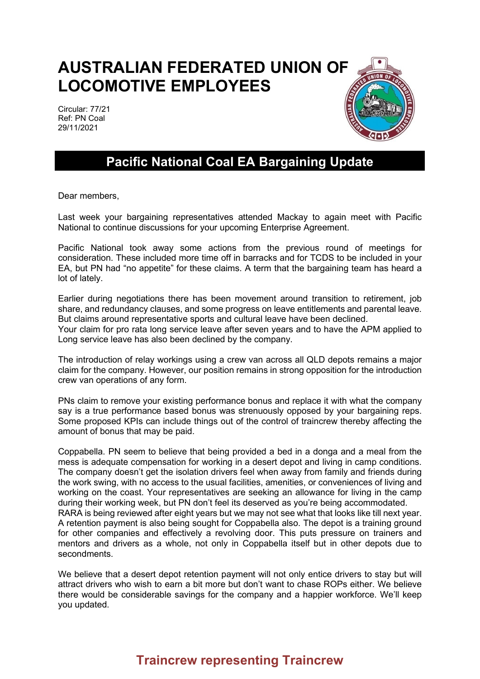## **AUSTRALIAN FEDERATED UNION OF LOCOMOTIVE EMPLOYEES**

Circular: 77/21 Ref: PN Coal 29/11/2021



## **Pacific National Coal EA Bargaining Update**

Dear members,

Last week your bargaining representatives attended Mackay to again meet with Pacific National to continue discussions for your upcoming Enterprise Agreement.

Pacific National took away some actions from the previous round of meetings for consideration. These included more time off in barracks and for TCDS to be included in your EA, but PN had "no appetite" for these claims. A term that the bargaining team has heard a lot of lately.

Earlier during negotiations there has been movement around transition to retirement, job share, and redundancy clauses, and some progress on leave entitlements and parental leave. But claims around representative sports and cultural leave have been declined.

Your claim for pro rata long service leave after seven years and to have the APM applied to Long service leave has also been declined by the company.

The introduction of relay workings using a crew van across all QLD depots remains a major claim for the company. However, our position remains in strong opposition for the introduction crew van operations of any form.

PNs claim to remove your existing performance bonus and replace it with what the company say is a true performance based bonus was strenuously opposed by your bargaining reps. Some proposed KPIs can include things out of the control of traincrew thereby affecting the amount of bonus that may be paid.

Coppabella. PN seem to believe that being provided a bed in a donga and a meal from the mess is adequate compensation for working in a desert depot and living in camp conditions. The company doesn't get the isolation drivers feel when away from family and friends during the work swing, with no access to the usual facilities, amenities, or conveniences of living and working on the coast. Your representatives are seeking an allowance for living in the camp during their working week, but PN don't feel its deserved as you're being accommodated. RARA is being reviewed after eight years but we may not see what that looks like till next year. A retention payment is also being sought for Coppabella also. The depot is a training ground for other companies and effectively a revolving door. This puts pressure on trainers and mentors and drivers as a whole, not only in Coppabella itself but in other depots due to secondments.

We believe that a desert depot retention payment will not only entice drivers to stay but will attract drivers who wish to earn a bit more but don't want to chase ROPs either. We believe there would be considerable savings for the company and a happier workforce. We'll keep you updated.

## **Traincrew representing Traincrew**